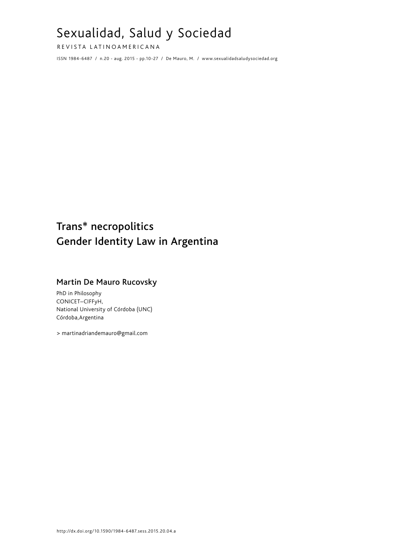# Sexualidad, Salud y Sociedad

### REVISTA LATINOAMERICANA

ISSN 1984-6487 / n.20 - aug. 2015 - pp.10-27 / De Mauro, M. / www.sexualidadsaludysociedad.org

## Trans\* necropolitics Gender Identity Law in Argentina

### Martin De Mauro Rucovsky

PhD in Philosophy CONICET–CIFFyH, National University of Córdoba (UNC) Córdoba,Argentina

> martinadriandemauro@gmail.com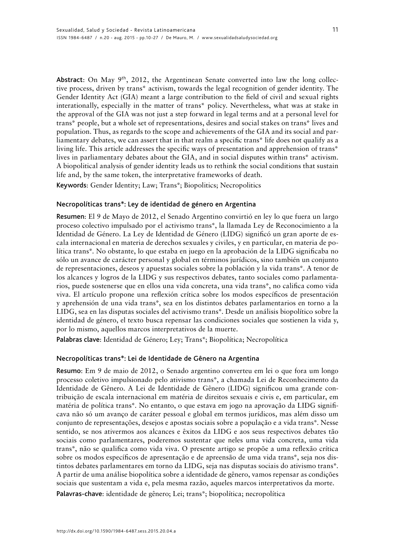Abstract: On May  $9<sup>th</sup>$ , 2012, the Argentinean Senate converted into law the long collective process, driven by trans\* activism, towards the legal recognition of gender identity. The Gender Identity Act (GIA) meant a large contribution to the field of civil and sexual rights interationally, especially in the matter of trans\* policy. Nevertheless, what was at stake in the approval of the GIA was not just a step forward in legal terms and at a personal level for trans\* people, but a whole set of representations, desires and social stakes on trans\* lives and population. Thus, as regards to the scope and achievements of the GIA and its social and parliamentary debates, we can assert that in that realm a specific trans\* life does not qualify as a living life. This article addresses the specific ways of presentation and apprehension of trans\* lives in parliamentary debates about the GIA, and in social disputes within trans\* activism. A biopolitical analysis of gender identity leads us to rethink the social conditions that sustain life and, by the same token, the interpretative frameworks of death.

Keywords: Gender Identity; Law; Trans\*; Biopolitics; Necropolitics

### Necropolíticas trans\*: Ley de identidad de género en Argentina

Resumen: El 9 de Mayo de 2012, el Senado Argentino convirtió en ley lo que fuera un largo proceso colectivo impulsado por el activismo trans\*, la llamada Ley de Reconocimiento a la Identidad de Género. La Ley de Identidad de Género (LIDG) significó un gran aporte de escala internacional en materia de derechos sexuales y civiles, y en particular, en materia de política trans\*. No obstante, lo que estaba en juego en la aprobación de la LIDG significaba no sólo un avance de carácter personal y global en términos jurídicos, sino también un conjunto de representaciones, deseos y apuestas sociales sobre la población y la vida trans\*. A tenor de los alcances y logros de la LIDG y sus respectivos debates, tanto sociales como parlamentarios, puede sostenerse que en ellos una vida concreta, una vida trans\*, no califica como vida viva. El artículo propone una reflexión crítica sobre los modos específicos de presentación y aprehensión de una vida trans\*, sea en los distintos debates parlamentarios en torno a la LIDG, sea en las disputas sociales del activismo trans\*. Desde un análisis biopolítico sobre la identidad de género, el texto busca repensar las condiciones sociales que sostienen la vida y, por lo mismo, aquellos marcos interpretativos de la muerte.

Palabras clave: Identidad de Género; Ley; Trans\*; Biopolítica; Necropolítica

#### Necropolíticas trans\*: Lei de Identidade de Gênero na Argentina

Resumo: Em 9 de maio de 2012, o Senado argentino converteu em lei o que fora um longo processo coletivo impulsionado pelo ativismo trans\*, a chamada Lei de Reconhecimento da Identidade de Gênero. A Lei de Identidade de Gênero (LIDG) significou uma grande contribuição de escala internacional em matéria de direitos sexuais e civis e, em particular, em matéria de política trans\*. No entanto, o que estava em jogo na aprovação da LIDG significava não só um avanço de caráter pessoal e global em termos jurídicos, mas além disso um conjunto de representações, desejos e apostas sociais sobre a população e a vida trans\*. Nesse sentido, se nos ativermos aos alcances e êxitos da LIDG e aos seus respectivos debates tão sociais como parlamentares, poderemos sustentar que neles uma vida concreta, uma vida trans\*, não se qualifica como vida viva. O presente artigo se propõe a uma reflexão crítica sobre os modos específicos de apresentação e de apreensão de uma vida trans\*, seja nos distintos debates parlamentares em torno da LIDG, seja nas disputas sociais do ativismo trans\*. A partir de uma análise biopolítica sobre a identidade de gênero, vamos repensar as condições sociais que sustentam a vida e, pela mesma razão, aqueles marcos interpretativos da morte.

Palavras-chave: identidade de gênero; Lei; trans\*; biopolítica; necropolítica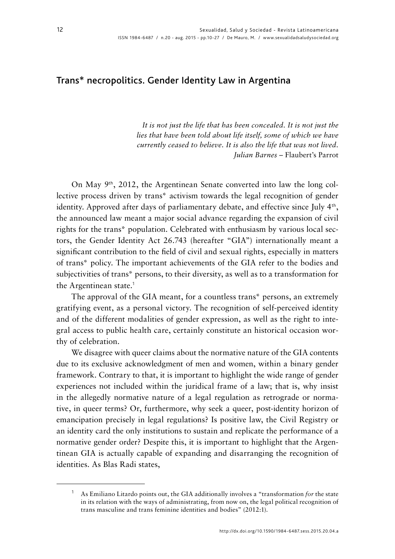### Trans\* necropolitics. Gender Identity Law in Argentina

*It is not just the life that has been concealed. It is not just the*  lies that have been told about life itself, some of which we have *currently ceased to believe. It is also the life that was not lived. Julian Barnes –* Flaubert's Parrot

On May 9th, 2012, the Argentinean Senate converted into law the long collective process driven by trans\* activism towards the legal recognition of gender identity. Approved after days of parliamentary debate, and effective since July 4<sup>th</sup>, the announced law meant a major social advance regarding the expansion of civil rights for the trans\* population. Celebrated with enthusiasm by various local sectors, the Gender Identity Act 26.743 (hereafter "GIA") internationally meant a significant contribution to the field of civil and sexual rights, especially in matters of trans\* policy. The important achievements of the GIA refer to the bodies and subjectivities of trans\* persons, to their diversity, as well as to a transformation for the Argentinean state.<sup>1</sup>

The approval of the GIA meant, for a countless trans\* persons, an extremely gratifying event, as a personal victory. The recognition of self-perceived identity and of the different modalities of gender expression, as well as the right to integral access to public health care, certainly constitute an historical occasion worthy of celebration.

We disagree with queer claims about the normative nature of the GIA contents due to its exclusive acknowledgment of men and women, within a binary gender framework. Contrary to that, it is important to highlight the wide range of gender experiences not included within the juridical frame of a law; that is, why insist in the allegedly normative nature of a legal regulation as retrograde or normative, in queer terms? Or, furthermore, why seek a queer, post-identity horizon of emancipation precisely in legal regulations? Is positive law, the Civil Registry or an identity card the only institutions to sustain and replicate the performance of a normative gender order? Despite this, it is important to highlight that the Argentinean GIA is actually capable of expanding and disarranging the recognition of identities. As Blas Radi states,

<sup>1</sup> As Emiliano Litardo points out, the GIA additionally involves a "transformation *for* the state in its relation with the ways of administrating, from now on, the legal political recognition of trans masculine and trans feminine identities and bodies" (2012:1).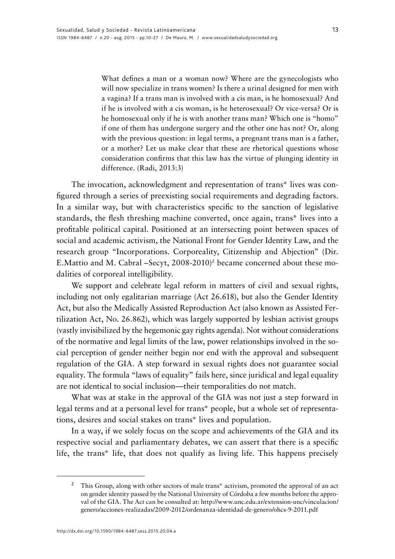What defines a man or a woman now? Where are the gynecologists who will now specialize in trans women? Is there a urinal designed for men with a vagina? If a trans man is involved with a cis man, is he homosexual? And if he is involved with a cis woman, is he heterosexual? Or vice-versa? Or is he homosexual only if he is with another trans man? Which one is "homo" if one of them has undergone surgery and the other one has not? Or, along with the previous question: in legal terms, a pregnant trans man is a father, or a mother? Let us make clear that these are rhetorical questions whose consideration confirms that this law has the virtue of plunging identity in difference. (Radi, 2013:3)

The invocation, acknowledgment and representation of trans\* lives was configured through a series of preexisting social requirements and degrading factors. In a similar way, but with characteristics specific to the sanction of legislative standards, the flesh threshing machine converted, once again, trans\* lives into a profitable political capital. Positioned at an intersecting point between spaces of social and academic activism, the National Front for Gender Identity Law, and the research group "Incorporations. Corporeality, Citizenship and Abjection" (Dir. E.Mattio and M. Cabral –Secyt, 2008-2010)<sup>2</sup> became concerned about these modalities of corporeal intelligibility.

We support and celebrate legal reform in matters of civil and sexual rights, including not only egalitarian marriage (Act 26.618), but also the Gender Identity Act, but also the Medically Assisted Reproduction Act (also known as Assisted Fertilization Act, No. 26.862), which was largely supported by lesbian activist groups (vastly invisibilized by the hegemonic gay rights agenda). Not without considerations of the normative and legal limits of the law, power relationships involved in the social perception of gender neither begin nor end with the approval and subsequent regulation of the GIA. A step forward in sexual rights does not guarantee social equality. The formula "laws of equality" fails here, since juridical and legal equality are not identical to social inclusion—their temporalities do not match.

What was at stake in the approval of the GIA was not just a step forward in legal terms and at a personal level for trans\* people, but a whole set of representations, desires and social stakes on trans\* lives and population.

In a way, if we solely focus on the scope and achievements of the GIA and its respective social and parliamentary debates, we can assert that there is a specific life, the trans\* life, that does not qualify as living life. This happens precisely

<sup>2</sup> This Group, along with other sectors of male trans\* activism, promoted the approval of an act on gender identity passed by the National University of Córdoba a few months before the approval of the GIA. The Act can be consulted at: http://www.unc.edu.ar/extension-unc/vinculacion/ genero/acciones-realizadas/2009-2012/ordenanza-identidad-de-genero/ohcs-9-2011.pdf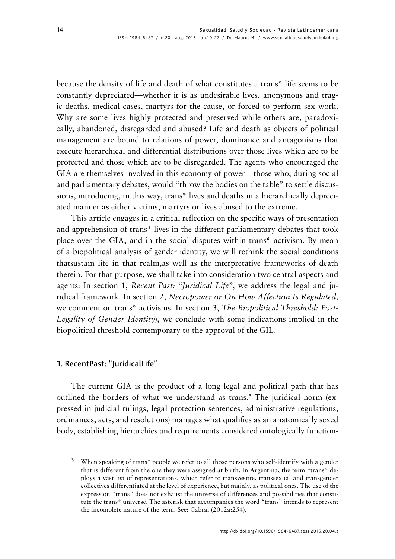because the density of life and death of what constitutes a trans\* life seems to be constantly depreciated—whether it is as undesirable lives, anonymous and tragic deaths, medical cases, martyrs for the cause, or forced to perform sex work. Why are some lives highly protected and preserved while others are, paradoxically, abandoned, disregarded and abused? Life and death as objects of political management are bound to relations of power, dominance and antagonisms that execute hierarchical and differential distributions over those lives which are to be protected and those which are to be disregarded. The agents who encouraged the GIA are themselves involved in this economy of power—those who, during social and parliamentary debates, would "throw the bodies on the table" to settle discussions, introducing, in this way, trans\* lives and deaths in a hierarchically depreciated manner as either victims, martyrs or lives abused to the extreme.

This article engages in a critical reflection on the specific ways of presentation and apprehension of trans\* lives in the different parliamentary debates that took place over the GIA, and in the social disputes within trans\* activism. By mean of a biopolitical analysis of gender identity, we will rethink the social conditions thatsustain life in that realm,as well as the interpretative frameworks of death therein. For that purpose, we shall take into consideration two central aspects and agents: In section 1, *Recent Past:* "*Juridical Life*", we address the legal and juridical framework. In section 2, *Necropower or On How Affection Is Regulated*, we comment on trans\* activisms. In section 3, *The Biopolitical Threshold: Post-Legality of Gender Identity*), we conclude with some indications implied in the biopolitical threshold contemporary to the approval of the GIL.

### 1. RecentPast: "JuridicalLife"

The current GIA is the product of a long legal and political path that has outlined the borders of what we understand as trans.<sup>3</sup> The juridical norm (expressed in judicial rulings, legal protection sentences, administrative regulations, ordinances, acts, and resolutions) manages what qualifies as an anatomically sexed body, establishing hierarchies and requirements considered ontologically function-

When speaking of trans\* people we refer to all those persons who self-identify with a gender that is different from the one they were assigned at birth. In Argentina, the term "trans" deploys a vast list of representations, which refer to transvestite, transsexual and transgender collectives differentiated at the level of experience, but mainly, as political ones. The use of the expression "trans" does not exhaust the universe of differences and possibilities that constitute the trans\* universe. The asterisk that accompanies the word "trans" intends to represent the incomplete nature of the term. See: Cabral (2012a:254).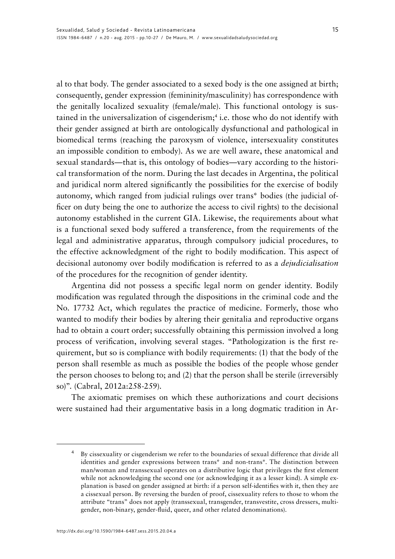15

al to that body. The gender associated to a sexed body is the one assigned at birth; consequently, gender expression (femininity/masculinity) has correspondence with the genitally localized sexuality (female/male). This functional ontology is sustained in the universalization of cisgenderism;<sup>4</sup> i.e. those who do not identify with their gender assigned at birth are ontologically dysfunctional and pathological in biomedical terms (reaching the paroxysm of violence, intersexuality constitutes an impossible condition to embody). As we are well aware, these anatomical and sexual standards—that is, this ontology of bodies—vary according to the historical transformation of the norm. During the last decades in Argentina, the political and juridical norm altered significantly the possibilities for the exercise of bodily autonomy, which ranged from judicial rulings over trans\* bodies (the judicial officer on duty being the one to authorize the access to civil rights) to the decisional autonomy established in the current GIA. Likewise, the requirements about what is a functional sexed body suffered a transference, from the requirements of the legal and administrative apparatus, through compulsory judicial procedures, to the effective acknowledgment of the right to bodily modification. This aspect of decisional autonomy over bodily modification is referred to as a *dejudicialisation* of the procedures for the recognition of gender identity.

Argentina did not possess a specific legal norm on gender identity. Bodily modification was regulated through the dispositions in the criminal code and the No. 17732 Act, which regulates the practice of medicine. Formerly, those who wanted to modify their bodies by altering their genitalia and reproductive organs had to obtain a court order; successfully obtaining this permission involved a long process of verification, involving several stages. "Pathologization is the first requirement, but so is compliance with bodily requirements: (1) that the body of the person shall resemble as much as possible the bodies of the people whose gender the person chooses to belong to; and (2) that the person shall be sterile (irreversibly so)". (Cabral, 2012a:258-259).

The axiomatic premises on which these authorizations and court decisions were sustained had their argumentative basis in a long dogmatic tradition in Ar-

<sup>4</sup> By cissexuality or cisgenderism we refer to the boundaries of sexual difference that divide all identities and gender expressions between trans\* and non-trans\*. The distinction between man/woman and transsexual operates on a distributive logic that privileges the first element while not acknowledging the second one (or acknowledging it as a lesser kind). A simple explanation is based on gender assigned at birth: if a person self-identifies with it, then they are a cissexual person. By reversing the burden of proof, cissexuality refers to those to whom the attribute "trans" does not apply (transsexual, transgender, transvestite, cross dressers, multigender, non-binary, gender-fluid, queer, and other related denominations).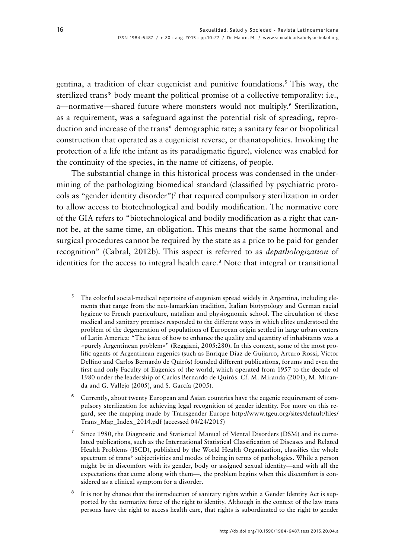gentina, a tradition of clear eugenicist and punitive foundations.<sup>5</sup> This way, the sterilized trans\* body meant the political promise of a collective temporality: i.e., a—normative—shared future where monsters would not multiply.<sup>6</sup> Sterilization, as a requirement, was a safeguard against the potential risk of spreading, reproduction and increase of the trans\* demographic rate; a sanitary fear or biopolitical construction that operated as a eugenicist reverse, or thanatopolitics. Invoking the protection of a life (the infant as its paradigmatic figure), violence was enabled for the continuity of the species, in the name of citizens, of people.

The substantial change in this historical process was condensed in the undermining of the pathologizing biomedical standard (classified by psychiatric protocols as "gender identity disorder")<sup>7</sup> that required compulsory sterilization in order to allow access to biotechnological and bodily modification. The normative core of the GIA refers to "biotechnological and bodily modification as a right that cannot be, at the same time, an obligation. This means that the same hormonal and surgical procedures cannot be required by the state as a price to be paid for gender recognition" (Cabral, 2012b). This aspect is referred to as *depathologization* of identities for the access to integral health care.<sup>8</sup> Note that integral or transitional

<sup>&</sup>lt;sup>5</sup> The colorful social-medical repertoire of eugenism spread widely in Argentina, including elements that range from the neo-lamarkian tradition, Italian biotypology and German racial hygiene to French puericulture, natalism and physiognomic school. The circulation of these medical and sanitary premises responded to the different ways in which elites understood the problem of the degeneration of populations of European origin settled in large urban centers of Latin America: "The issue of how to enhance the quality and quantity of inhabitants was a «purely Argentinean problem»" (Reggiani, 2005:280). In this context, some of the most prolific agents of Argentinean eugenics (such as Enrique Díaz de Guijarro, Arturo Rossi, Victor Delfino and Carlos Bernardo de Quirós) founded different publications, forums and even the first and only Faculty of Eugenics of the world, which operated from 1957 to the decade of 1980 under the leadership of Carlos Bernardo de Quirós. Cf. M. Miranda (2001), M. Miranda and G. Vallejo (2005), and S. García (2005).

<sup>6</sup> Currently, about twenty European and Asian countries have the eugenic requirement of compulsory sterilization for achieving legal recognition of gender identity. For more on this regard, see the mapping made by Transgender Europe http://www.tgeu.org/sites/default/files/ Trans\_Map\_Index\_2014.pdf (accessed 04/24/2015)

<sup>7</sup> Since 1980, the Diagnostic and Statistical Manual of Mental Disorders (DSM) and its correlated publications, such as the International Statistical Classification of Diseases and Related Health Problems (ISCD), published by the World Health Organization, classifies the whole spectrum of trans\* subjectivities and modes of being in terms of pathologies. While a person might be in discomfort with its gender, body or assigned sexual identity—and with all the expectations that come along with them—, the problem begins when this discomfort is considered as a clinical symptom for a disorder.

It is not by chance that the introduction of sanitary rights within a Gender Identity Act is supported by the normative force of the right to identity. Although in the context of the law trans persons have the right to access health care, that rights is subordinated to the right to gender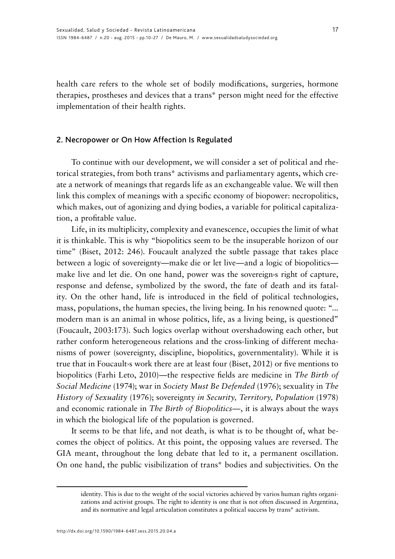health care refers to the whole set of bodily modifications, surgeries, hormone therapies, prostheses and devices that a trans\* person might need for the effective implementation of their health rights.

### 2. Necropower or On How Affection Is Regulated

To continue with our development, we will consider a set of political and rhetorical strategies, from both trans\* activisms and parliamentary agents, which create a network of meanings that regards life as an exchangeable value. We will then link this complex of meanings with a specific economy of biopower: necropolitics, which makes, out of agonizing and dying bodies, a variable for political capitalization, a profitable value.

Life, in its multiplicity, complexity and evanescence, occupies the limit of what it is thinkable. This is why "biopolitics seem to be the insuperable horizon of our time" (Biset, 2012: 246). Foucault analyzed the subtle passage that takes place between a logic of sovereignty—make die or let live—and a logic of biopolitics make live and let die. On one hand, power was the sovereign›s right of capture, response and defense, symbolized by the sword, the fate of death and its fatality. On the other hand, life is introduced in the field of political technologies, mass, populations, the human species, the living being. In his renowned quote: "... modern man is an animal in whose politics, life, as a living being, is questioned" (Foucault, 2003:173). Such logics overlap without overshadowing each other, but rather conform heterogeneous relations and the cross-linking of different mechanisms of power (sovereignty, discipline, biopolitics, governmentality). While it is true that in Foucault›s work there are at least four (Biset, 2012) or five mentions to biopolitics (Farhi Leto, 2010)—the respective fields are medicine in *The Birth of Social Medicine* (1974); war in *Society Must Be Defended* (1976); sexuality in *The History of Sexuality* (1976); sovereignty *in Security, Territory, Population* (1978) and economic rationale in *The Birth of Biopolitics*—, it is always about the ways in which the biological life of the population is governed.

It seems to be that life, and not death, is what is to be thought of, what becomes the object of politics. At this point, the opposing values are reversed. The GIA meant, throughout the long debate that led to it, a permanent oscillation. On one hand, the public visibilization of trans\* bodies and subjectivities. On the

identity. This is due to the weight of the social victories achieved by varios human rights organizations and activist groups. The right to identity is one that is not often discussed in Argentina, and its normative and legal articulation constitutes a political success by trans\* activism.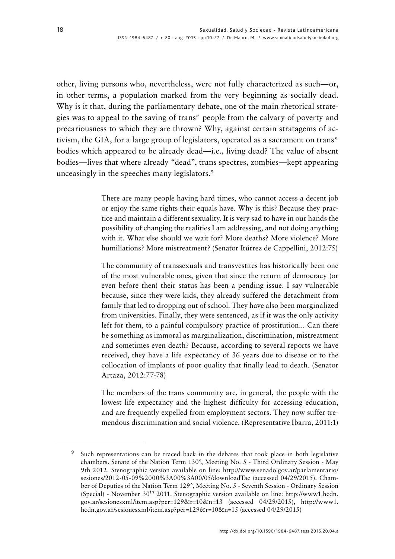other, living persons who, nevertheless, were not fully characterized as such—or, in other terms, a population marked from the very beginning as socially dead. Why is it that, during the parliamentary debate, one of the main rhetorical strategies was to appeal to the saving of trans\* people from the calvary of poverty and precariousness to which they are thrown? Why, against certain stratagems of activism, the GIA, for a large group of legislators, operated as a sacrament on trans\* bodies which appeared to be already dead—i.e., living dead? The value of absent bodies—lives that where already "dead", trans spectres, zombies—kept appearing unceasingly in the speeches many legislators.<sup>9</sup>

> There are many people having hard times, who cannot access a decent job or enjoy the same rights their equals have. Why is this? Because they practice and maintain a different sexuality. It is very sad to have in our hands the possibility of changing the realities I am addressing, and not doing anything with it. What else should we wait for? More deaths? More violence? More humiliations? More mistreatment? (Senator Itúrrez de Cappellini, 2012:75)

> The community of transsexuals and transvestites has historically been one of the most vulnerable ones, given that since the return of democracy (or even before then) their status has been a pending issue. I say vulnerable because, since they were kids, they already suffered the detachment from family that led to dropping out of school. They have also been marginalized from universities. Finally, they were sentenced, as if it was the only activity left for them, to a painful compulsory practice of prostitution... Can there be something as immoral as marginalization, discrimination, mistreatment and sometimes even death? Because, according to several reports we have received, they have a life expectancy of 36 years due to disease or to the collocation of implants of poor quality that finally lead to death. (Senator Artaza, 2012:77-78)

> The members of the trans community are, in general, the people with the lowest life expectancy and the highest difficulty for accessing education, and are frequently expelled from employment sectors. They now suffer tremendous discrimination and social violence. (Representative Ibarra, 2011:1)

Such representations can be traced back in the debates that took place in both legislative chambers. Senate of the Nation Term 130°, Meeting No. 5 - Third Ordinary Session - May 9th 2012. Stenographic version available on line: http://www.senado.gov.ar/parlamentario/ sesiones/2012-05-09%2000%3A00%3A00/05/downloadTac (accessed 04/29/2015). Chamber of Deputies of the Nation Term 129°, Meeting No. 5 - Seventh Session - Ordinary Session (Special) - November 30th 2011. Stenographic version available on line: http://www1.hcdn. gov.ar/sesionesxml/item.asp?per=129&r=10&n=13 (accessed 04/29/2015), http://www1. hcdn.gov.ar/sesionesxml/item.asp?per=129&r=10&n=15 (accessed 04/29/2015)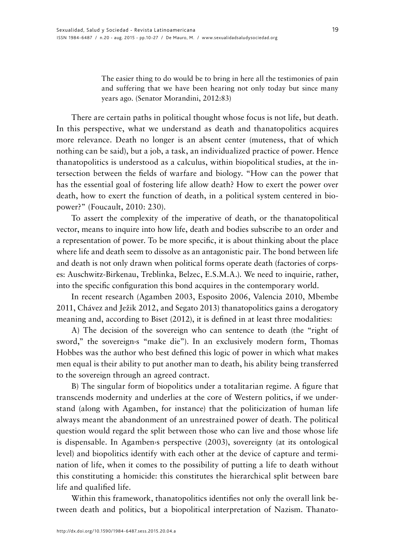The easier thing to do would be to bring in here all the testimonies of pain and suffering that we have been hearing not only today but since many years ago. (Senator Morandini, 2012:83)

There are certain paths in political thought whose focus is not life, but death. In this perspective, what we understand as death and thanatopolitics acquires more relevance. Death no longer is an absent center (muteness, that of which nothing can be said), but a job, a task, an individualized practice of power. Hence thanatopolitics is understood as a calculus, within biopolitical studies, at the intersection between the fields of warfare and biology. "How can the power that has the essential goal of fostering life allow death? How to exert the power over death, how to exert the function of death, in a political system centered in biopower?" (Foucault, 2010: 230).

To assert the complexity of the imperative of death, or the thanatopolitical vector, means to inquire into how life, death and bodies subscribe to an order and a representation of power. To be more specific, it is about thinking about the place where life and death seem to dissolve as an antagonistic pair. The bond between life and death is not only drawn when political forms operate death (factories of corpses: Auschwitz-Birkenau, Treblinka, Belzec, E.S.M.A.). We need to inquirie, rather, into the specific configuration this bond acquires in the contemporary world.

In recent research (Agamben 2003, Esposito 2006, Valencia 2010, Mbembe 2011, Chávez and Ježik 2012, and Segato 2013) thanatopolitics gains a derogatory meaning and, according to Biset (2012), it is defined in at least three modalities:

A) The decision of the sovereign who can sentence to death (the "right of sword," the sovereign<sup>s "</sup>make die"). In an exclusively modern form, Thomas Hobbes was the author who best defined this logic of power in which what makes men equal is their ability to put another man to death, his ability being transferred to the sovereign through an agreed contract.

B) The singular form of biopolitics under a totalitarian regime. A figure that transcends modernity and underlies at the core of Western politics, if we understand (along with Agamben, for instance) that the politicization of human life always meant the abandonment of an unrestrained power of death. The political question would regard the split between those who can live and those whose life is dispensable. In Agamben›s perspective (2003), sovereignty (at its ontological level) and biopolitics identify with each other at the device of capture and termination of life, when it comes to the possibility of putting a life to death without this constituting a homicide: this constitutes the hierarchical split between bare life and qualified life.

Within this framework, thanatopolitics identifies not only the overall link between death and politics, but a biopolitical interpretation of Nazism. Thanato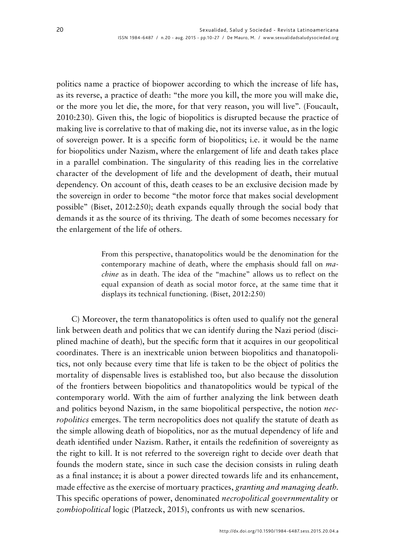politics name a practice of biopower according to which the increase of life has, as its reverse, a practice of death: "the more you kill, the more you will make die, or the more you let die, the more, for that very reason, you will live". (Foucault, 2010:230). Given this, the logic of biopolitics is disrupted because the practice of making live is correlative to that of making die, not its inverse value, as in the logic of sovereign power. It is a specific form of biopolitics; i.e. it would be the name for biopolitics under Nazism, where the enlargement of life and death takes place in a parallel combination. The singularity of this reading lies in the correlative character of the development of life and the development of death, their mutual dependency. On account of this, death ceases to be an exclusive decision made by the sovereign in order to become "the motor force that makes social development possible" (Biset, 2012:250); death expands equally through the social body that demands it as the source of its thriving. The death of some becomes necessary for the enlargement of the life of others.

> From this perspective, thanatopolitics would be the denomination for the contemporary machine of death, where the emphasis should fall on *machine* as in death. The idea of the "machine" allows us to reflect on the equal expansion of death as social motor force, at the same time that it displays its technical functioning. (Biset, 2012:250)

C) Moreover, the term thanatopolitics is often used to qualify not the general link between death and politics that we can identify during the Nazi period (disciplined machine of death), but the specific form that it acquires in our geopolitical coordinates. There is an inextricable union between biopolitics and thanatopolitics, not only because every time that life is taken to be the object of politics the mortality of dispensable lives is established too, but also because the dissolution of the frontiers between biopolitics and thanatopolitics would be typical of the contemporary world. With the aim of further analyzing the link between death and politics beyond Nazism, in the same biopolitical perspective, the notion *necropolitics* emerges. The term necropolitics does not qualify the statute of death as the simple allowing death of biopolitics, nor as the mutual dependency of life and death identified under Nazism. Rather, it entails the redefinition of sovereignty as the right to kill. It is not referred to the sovereign right to decide over death that founds the modern state, since in such case the decision consists in ruling death as a final instance; it is about a power directed towards life and its enhancement, made effective as the exercise of mortuary practices, *granting and managing death*. This specific operations of power, denominated *necropolitical governmentality* or *zombiopolitical* logic (Platzeck, 2015), confronts us with new scenarios.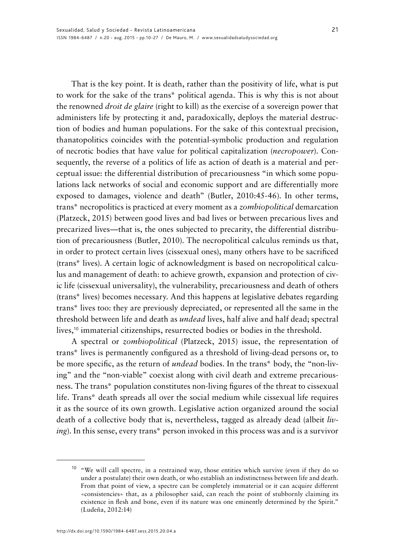That is the key point. It is death, rather than the positivity of life, what is put to work for the sake of the trans\* political agenda. This is why this is not about the renowned *droit de glaire* (right to kill) as the exercise of a sovereign power that administers life by protecting it and, paradoxically, deploys the material destruction of bodies and human populations. For the sake of this contextual precision, thanatopolitics coincides with the potential-symbolic production and regulation of necrotic bodies that have value for political capitalization (*necropower*). Consequently, the reverse of a politics of life as action of death is a material and perceptual issue: the differential distribution of precariousness "in which some populations lack networks of social and economic support and are differentially more exposed to damages, violence and death" (Butler, 2010:45-46). In other terms, trans\* necropolitics is practiced at every moment as a *zombiopolitical* demarcation (Platzeck, 2015) between good lives and bad lives or between precarious lives and precarized lives—that is, the ones subjected to precarity, the differential distribution of precariousness (Butler, 2010). The necropolitical calculus reminds us that, in order to protect certain lives (cissexual ones), many others have to be sacrificed (trans\* lives). A certain logic of acknowledgment is based on necropolitical calculus and management of death: to achieve growth, expansion and protection of civic life (cissexual universality), the vulnerability, precariousness and death of others (trans\* lives) becomes necessary. And this happens at legislative debates regarding trans\* lives too: they are previously depreciated, or represented all the same in the threshold between life and death as *undead* lives, half alive and half dead; spectral lives,<sup>10</sup> immaterial citizenships, resurrected bodies or bodies in the threshold.

A spectral or *zombiopolitical* (Platzeck, 2015) issue, the representation of trans\* lives is permanently configured as a threshold of living-dead persons or, to be more specific, as the return of *undead* bodies. In the trans\* body, the "non-living" and the "non-viable" coexist along with civil death and extreme precariousness. The trans\* population constitutes non-living figures of the threat to cissexual life. Trans\* death spreads all over the social medium while cissexual life requires it as the source of its own growth. Legislative action organized around the social death of a collective body that is, nevertheless, tagged as already dead (albeit *liv*ing). In this sense, every trans\* person invoked in this process was and is a survivor

<sup>&</sup>lt;sup>10</sup> "We will call spectre, in a restrained way, those entities which survive (even if they do so under a postulate) their own death, or who establish an indistinctness between life and death. From that point of view, a spectre can be completely immaterial or it can acquire different «consistencies» that, as a philosopher said, can reach the point of stubbornly claiming its existence in flesh and bone, even if its nature was one eminently determined by the Spirit." (Ludeña, 2012:14)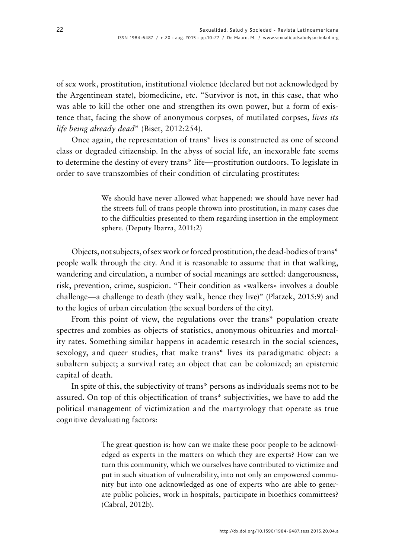of sex work, prostitution, institutional violence (declared but not acknowledged by the Argentinean state), biomedicine, etc. "Survivor is not, in this case, that who was able to kill the other one and strengthen its own power, but a form of existence that, facing the show of anonymous corpses, of mutilated corpses, *lives its life being already dead*" (Biset, 2012:254).

Once again, the representation of trans\* lives is constructed as one of second class or degraded citizenship. In the abyss of social life, an inexorable fate seems to determine the destiny of every trans\* life—prostitution outdoors. To legislate in order to save transzombies of their condition of circulating prostitutes:

> We should have never allowed what happened: we should have never had the streets full of trans people thrown into prostitution, in many cases due to the difficulties presented to them regarding insertion in the employment sphere. (Deputy Ibarra, 2011:2)

Objects, not subjects, of sex work or forced prostitution, the dead-bodies of trans\* people walk through the city. And it is reasonable to assume that in that walking, wandering and circulation, a number of social meanings are settled: dangerousness, risk, prevention, crime, suspicion. "Their condition as «walkers» involves a double challenge—a challenge to death (they walk, hence they live)" (Platzek, 2015:9) and to the logics of urban circulation (the sexual borders of the city).

From this point of view, the regulations over the trans\* population create spectres and zombies as objects of statistics, anonymous obituaries and mortality rates. Something similar happens in academic research in the social sciences, sexology, and queer studies, that make trans\* lives its paradigmatic object: a subaltern subject; a survival rate; an object that can be colonized; an epistemic capital of death.

In spite of this, the subjectivity of trans\* persons as individuals seems not to be assured. On top of this objectification of trans\* subjectivities, we have to add the political management of victimization and the martyrology that operate as true cognitive devaluating factors:

> The great question is: how can we make these poor people to be acknowledged as experts in the matters on which they are experts? How can we turn this community, which we ourselves have contributed to victimize and put in such situation of vulnerability, into not only an empowered community but into one acknowledged as one of experts who are able to generate public policies, work in hospitals, participate in bioethics committees? (Cabral, 2012b).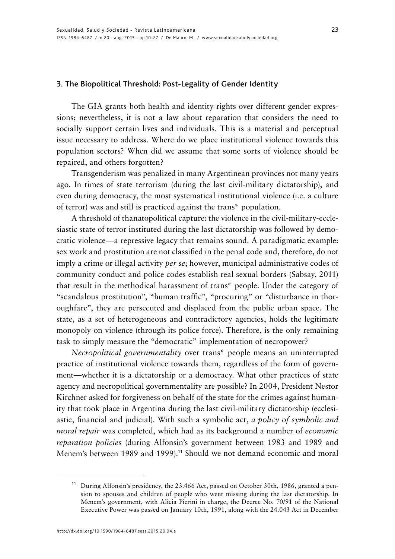### 3. The Biopolitical Threshold: Post-Legality of Gender Identity

The GIA grants both health and identity rights over different gender expressions; nevertheless, it is not a law about reparation that considers the need to socially support certain lives and individuals. This is a material and perceptual issue necessary to address. Where do we place institutional violence towards this population sectors? When did we assume that some sorts of violence should be repaired, and others forgotten?

Transgenderism was penalized in many Argentinean provinces not many years ago. In times of state terrorism (during the last civil-military dictatorship), and even during democracy, the most systematical institutional violence (i.e. a culture of terror) was and still is practiced against the trans\* population.

A threshold of thanatopolitical capture: the violence in the civil-military-ecclesiastic state of terror instituted during the last dictatorship was followed by democratic violence—a repressive legacy that remains sound. A paradigmatic example: sex work and prostitution are not classified in the penal code and, therefore, do not imply a crime or illegal activity *per se*; however, municipal administrative codes of community conduct and police codes establish real sexual borders (Sabsay, 2011) that result in the methodical harassment of trans\* people. Under the category of "scandalous prostitution", "human traffic", "procuring" or "disturbance in thoroughfare", they are persecuted and displaced from the public urban space. The state, as a set of heterogeneous and contradictory agencies, holds the legitimate monopoly on violence (through its police force). Therefore, is the only remaining task to simply measure the "democratic" implementation of necropower?

*Necropolitical governmentality* over trans\* people means an uninterrupted practice of institutional violence towards them, regardless of the form of government—whether it is a dictatorship or a democracy. What other practices of state agency and necropolitical governmentality are possible? In 2004, President Nestor Kirchner asked for forgiveness on behalf of the state for the crimes against humanity that took place in Argentina during the last civil-military dictatorship (ecclesiastic, financial and judicial). With such a symbolic act, *a policy of symbolic and moral repair* was completed, which had as its background a number of *economic reparation policie*s (during Alfonsin's government between 1983 and 1989 and Menem's between 1989 and 1999).<sup>11</sup> Should we not demand economic and moral

<sup>&</sup>lt;sup>11</sup> During Alfonsin's presidency, the 23.466 Act, passed on October 30th, 1986, granted a pension to spouses and children of people who went missing during the last dictatorship. In Menem's government, with Alicia Pierini in charge, the Decree No. 70/91 of the National Executive Power was passed on January 10th, 1991, along with the 24.043 Act in December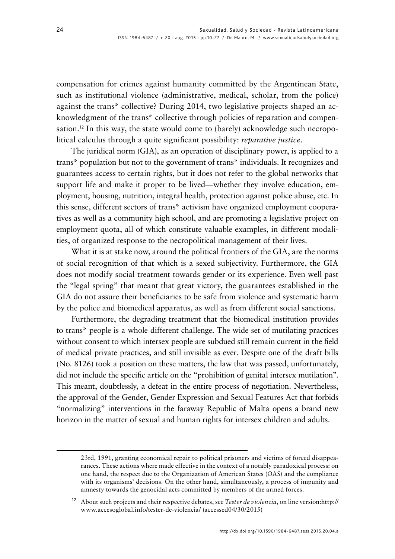compensation for crimes against humanity committed by the Argentinean State, such as institutional violence (administrative, medical, scholar, from the police) against the trans\* collective? During 2014, two legislative projects shaped an acknowledgment of the trans\* collective through policies of reparation and compensation.12 In this way, the state would come to (barely) acknowledge such necropolitical calculus through a quite significant possibility: *reparative justice*.

The juridical norm (GIA), as an operation of disciplinary power, is applied to a trans\* population but not to the government of trans\* individuals. It recognizes and guarantees access to certain rights, but it does not refer to the global networks that support life and make it proper to be lived—whether they involve education, employment, housing, nutrition, integral health, protection against police abuse, etc. In this sense, different sectors of trans\* activism have organized employment cooperatives as well as a community high school, and are promoting a legislative project on employment quota, all of which constitute valuable examples, in different modalities, of organized response to the necropolitical management of their lives.

What it is at stake now, around the political frontiers of the GIA, are the norms of social recognition of that which is a sexed subjectivity. Furthermore, the GIA does not modify social treatment towards gender or its experience. Even well past the "legal spring" that meant that great victory, the guarantees established in the GIA do not assure their beneficiaries to be safe from violence and systematic harm by the police and biomedical apparatus, as well as from different social sanctions.

Furthermore, the degrading treatment that the biomedical institution provides to trans\* people is a whole different challenge. The wide set of mutilating practices without consent to which intersex people are subdued still remain current in the field of medical private practices, and still invisible as ever. Despite one of the draft bills (No. 8126) took a position on these matters, the law that was passed, unfortunately, did not include the specific article on the "prohibition of genital intersex mutilation". This meant, doubtlessly, a defeat in the entire process of negotiation. Nevertheless, the approval of the Gender, Gender Expression and Sexual Features Act that forbids "normalizing" interventions in the faraway Republic of Malta opens a brand new horizon in the matter of sexual and human rights for intersex children and adults.

<sup>23</sup>rd, 1991, granting economical repair to political prisoners and victims of forced disappearances. These actions where made effective in the context of a notably paradoxical process: on one hand, the respect due to the Organization of American States (OAS) and the compliance with its organisms' decisions. On the other hand, simultaneously, a process of impunity and amnesty towards the genocidal acts committed by members of the armed forces.

<sup>12</sup> About such projects and their respective debates, see *Tester de violencia*, on line version:http:// www.accesoglobal.info/tester-de-violencia/ (accessed04/30/2015)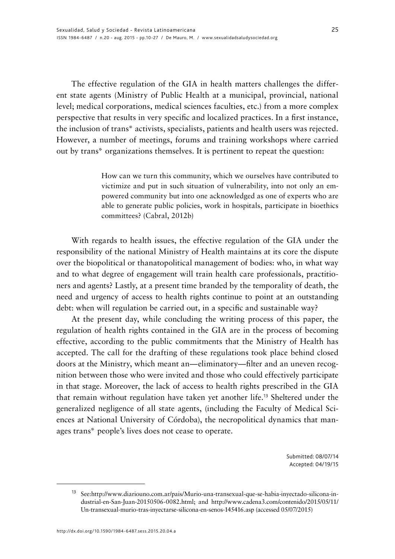The effective regulation of the GIA in health matters challenges the different state agents (Ministry of Public Health at a municipal, provincial, national level; medical corporations, medical sciences faculties, etc.) from a more complex perspective that results in very specific and localized practices. In a first instance, the inclusion of trans\* activists, specialists, patients and health users was rejected. However, a number of meetings, forums and training workshops where carried out by trans\* organizations themselves. It is pertinent to repeat the question:

> How can we turn this community, which we ourselves have contributed to victimize and put in such situation of vulnerability, into not only an empowered community but into one acknowledged as one of experts who are able to generate public policies, work in hospitals, participate in bioethics committees? (Cabral, 2012b)

With regards to health issues, the effective regulation of the GIA under the responsibility of the national Ministry of Health maintains at its core the dispute over the biopolitical or thanatopolitical management of bodies: who, in what way and to what degree of engagement will train health care professionals, practitioners and agents? Lastly, at a present time branded by the temporality of death, the need and urgency of access to health rights continue to point at an outstanding debt: when will regulation be carried out, in a specific and sustainable way?

At the present day, while concluding the writing process of this paper, the regulation of health rights contained in the GIA are in the process of becoming effective, according to the public commitments that the Ministry of Health has accepted. The call for the drafting of these regulations took place behind closed doors at the Ministry, which meant an—eliminatory—filter and an uneven recognition between those who were invited and those who could effectively participate in that stage. Moreover, the lack of access to health rights prescribed in the GIA that remain without regulation have taken yet another life.13 Sheltered under the generalized negligence of all state agents, (including the Faculty of Medical Sciences at National University of Córdoba), the necropolitical dynamics that manages trans\* people's lives does not cease to operate.

> Submitted: 08/07/14 Accepted: 04/19/15

<sup>13</sup> See:http://www.diariouno.com.ar/pais/Murio-una-transexual-que-se-habia-inyectado-silicona-industrial-en-San-Juan-20150506-0082.html; and http://www.cadena3.com/contenido/2015/05/11/ Un-transexual-murio-tras-inyectarse-silicona-en-senos-145416.asp (accessed 05/07/2015)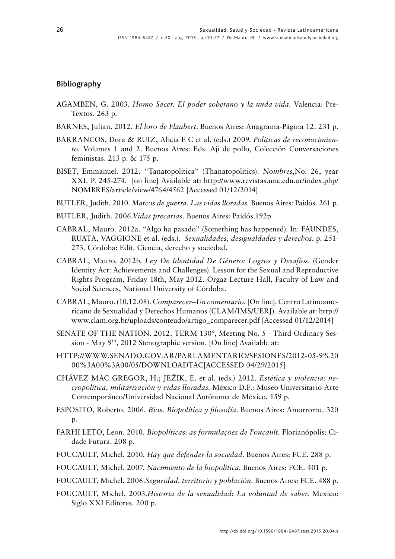### Bibliography

- AGAMBEN, G. 2003. *Homo Sacer. El poder soberano y la nuda vida*. Valencia: Pre-Textos. 263 p.
- BARNES, Julian. 2012. *El loro de Flaubert*. Buenos Aires: Anagrama-Página 12. 231 p.
- BARRANCOS, Dora & RUIZ, Alicia E C et al. (eds.) 2009. *Políticas de reconocimiento.* Volumes 1 and 2. Buenos Aires: Eds. Ají de pollo, Colección Conversaciones feministas. 213 p. & 175 p.
- BISET, Emmanuel. 2012. "Tanatopolítica" (Thanatopolitics). *Nombres*,No. 26, year XXI. P. 245-274. [on line] Available at: http://www.revistas.unc.edu.ar/index.php/ NOMBRES/article/view/4764/4562 [Accessed 01/12/2014]
- BUTLER, Judith. 2010. *Marcos de guerra. Las vidas lloradas.* Buenos Aires: Paidós. 261 p.
- BUTLER, Judith. 2006.*Vidas precarias.* Buenos Aires: Paidós.192p
- CABRAL, Mauro. 2012a. "Algo ha pasado" (Something has happened). In: FAUNDES, RUATA, VAGGIONE et al. (eds.). *Sexualidades, desigualdades y derechos*. p. 251- 273. Córdoba: Edit. Ciencia, derecho y sociedad.
- CABRAL, Mauro. 2012b. *Ley De Identidad De Género: Logros y Desafíos*. (Gender Identity Act: Achievements and Challenges). Lesson for the Sexual and Reproductive Rights Program, Friday 18th, May 2012. Orgaz Lecture Hall, Faculty of Law and Social Sciences, National University of Córdoba.
- CABRAL, Mauro. (10.12.08). *Comparecer*–*Un comentario.* [On line]. Centro Latinoamericano de Sexualidad y Derechos Humanos (CLAM/IMS/UERJ). Available at: http:// www.clam.org.br/uploads/conteudo/artigo\_comparecer.pdf [Accessed 01/12/2014]
- SENATE OF THE NATION. 2012. TERM 130°, Meeting No. 5 Third Ordinary Session - May 9<sup>th</sup>, 2012 Stenographic version. [On line] Available at:
- http://www.senado.gov.ar/parlamentario/sesiones/2012-05-9%20 00%3A00%3A00/05/DOWNLOADTAC[ACCESSED 04/29/2015]
- CHÁVEZ MAC GREGOR, H.; JEŽIK, E. et al. (eds.) 2012. *Estética y violencia: necropolítica, militarización y vidas lloradas*. México D.F.: Museo Universitario Arte Contemporáneo/Universidad Nacional Autónoma de México. 159 p.
- ESPOSITO, Roberto. 2006. *Bios. Biopolítica y filosofía*. Buenos Aires: Amorrortu. 320 p.
- FARHI LETO, Leon. 2010. *Biopolíticas: as formulações de Foucault*. Florianópolis: Cidade Futura. 208 p.
- FOUCAULT, Michel. 2010. *Hay que defender la sociedad*. Buenos Aires: FCE. 288 p.
- FOUCAULT, Michel. 2007. *Nacimiento de la biopolítica*. Buenos Aires: FCE. 401 p.
- FOUCAULT, Michel. 2006.*Seguridad, territorio y población*. Buenos Aires: FCE. 488 p.
- FOUCAULT, Michel. 2003.*Historia de la sexualidad: La voluntad de saber*. Mexico: Siglo XXI Editores. 200 p.